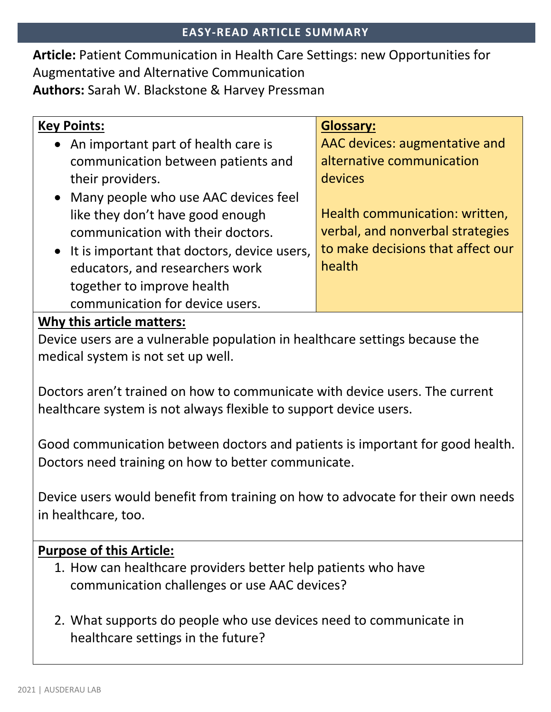**Article:** Patient Communication in Health Care Settings: new Opportunities for Augmentative and Alternative Communication **Authors:** Sarah W. Blackstone & Harvey Pressman

| <b>Key Points:</b>                            | <b>Glossary:</b>                  |
|-----------------------------------------------|-----------------------------------|
| • An important part of health care is         | AAC devices: augmentative and     |
| communication between patients and            | alternative communication         |
| their providers.                              | <b>devices</b>                    |
| • Many people who use AAC devices feel        |                                   |
| like they don't have good enough              | Health communication: written,    |
| communication with their doctors.             | verbal, and nonverbal strategies  |
| • It is important that doctors, device users, | to make decisions that affect our |
| educators, and researchers work               | health                            |
| together to improve health                    |                                   |
| communication for device users.               |                                   |

## **Why this article matters:**

Device users are a vulnerable population in healthcare settings because the medical system is not set up well.

Doctors aren't trained on how to communicate with device users. The current healthcare system is not always flexible to support device users.

Good communication between doctors and patients is important for good health. Doctors need training on how to better communicate.

Device users would benefit from training on how to advocate for their own needs in healthcare, too.

## **Purpose of this Article:**

- 1. How can healthcare providers better help patients who have communication challenges or use AAC devices?
- 2. What supports do people who use devices need to communicate in healthcare settings in the future?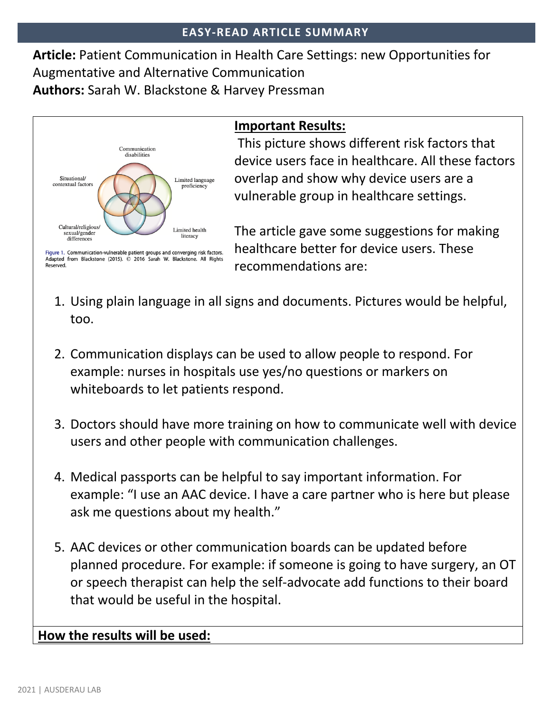**Article:** Patient Communication in Health Care Settings: new Opportunities for Augmentative and Alternative Communication **Authors:** Sarah W. Blackstone & Harvey Pressman



Reserved.

# **Important Results:**

This picture shows different risk factors that device users face in healthcare. All these factors overlap and show why device users are a vulnerable group in healthcare settings.

The article gave some suggestions for making healthcare better for device users. These recommendations are:

- 1. Using plain language in all signs and documents. Pictures would be helpful, too.
- 2. Communication displays can be used to allow people to respond. For example: nurses in hospitals use yes/no questions or markers on whiteboards to let patients respond.
- 3. Doctors should have more training on how to communicate well with device users and other people with communication challenges.
- 4. Medical passports can be helpful to say important information. For example: "I use an AAC device. I have a care partner who is here but please ask me questions about my health."
- 5. AAC devices or other communication boards can be updated before planned procedure. For example: if someone is going to have surgery, an OT or speech therapist can help the self-advocate add functions to their board that would be useful in the hospital.

## **How the results will be used:**